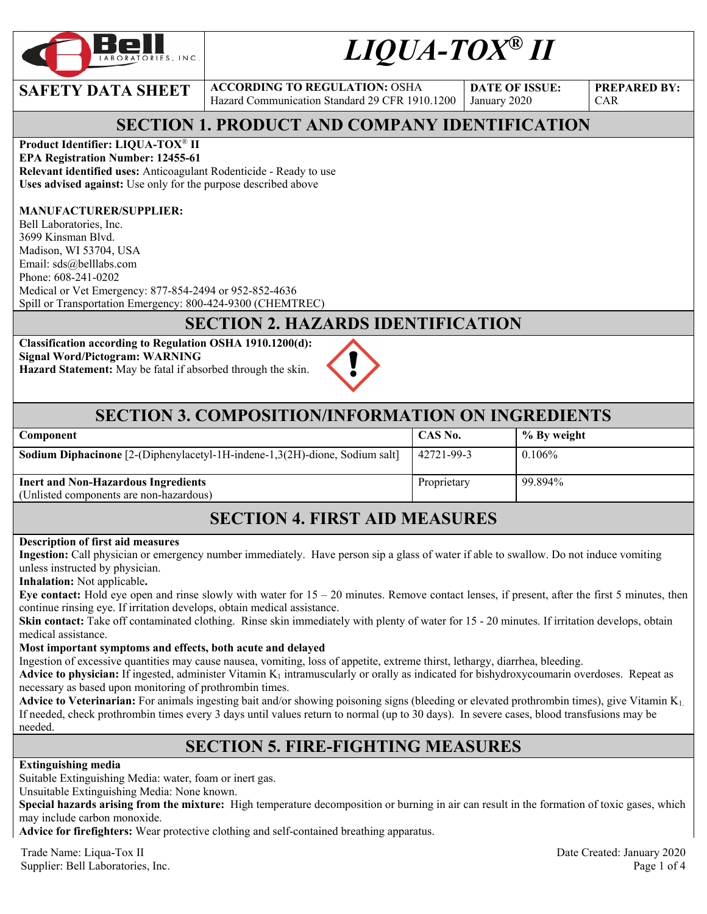

# *LIQUA-TOX® II*

**DATE OF ISSUE:**  January 2020

**PREPARED BY:**  CAR

# **SECTION 1. PRODUCT AND COMPANY IDENTIFICATION**

Hazard Communication Standard 29 CFR 1910.1200

### **Product Identifier: LIQUA-TOX**® **II**

**EPA Registration Number: 12455-61 Relevant identified uses:** Anticoagulant Rodenticide - Ready to use **Uses advised against:** Use only for the purpose described above

**SAFETY DATA SHEET** ACCORDING TO REGULATION: OSHA

#### **MANUFACTURER/SUPPLIER:**

Bell Laboratories, Inc. 3699 Kinsman Blvd. Madison, WI 53704, USA Email: sds@belllabs.com Phone: 608-241-0202 Medical or Vet Emergency: 877-854-2494 or 952-852-4636 Spill or Transportation Emergency: 800-424-9300 (CHEMTREC)

# **SECTION 2. HAZARDS IDENTIFICATION**

**Classification according to Regulation OSHA 1910.1200(d): Signal Word/Pictogram: WARNING Hazard Statement:** May be fatal if absorbed through the skin.



### **SECTION 3. COMPOSITION/INFORMATION ON INGREDIENTS**

| <b>Component</b>                                                                      | CAS No.     | % By weight |
|---------------------------------------------------------------------------------------|-------------|-------------|
| Sodium Diphacinone [2-(Diphenylacetyl-1H-indene-1,3(2H)-dione, Sodium salt]           | 42721-99-3  | $0.106\%$   |
| <b>Inert and Non-Hazardous Ingredients</b><br>(Unlisted components are non-hazardous) | Proprietary | 99.894%     |

# **SECTION 4. FIRST AID MEASURES**

#### **Description of first aid measures**

**Ingestion:** Call physician or emergency number immediately. Have person sip a glass of water if able to swallow. Do not induce vomiting unless instructed by physician.

**Inhalation:** Not applicable**.** 

**Eye contact:** Hold eye open and rinse slowly with water for  $15 - 20$  minutes. Remove contact lenses, if present, after the first 5 minutes, then continue rinsing eye. If irritation develops, obtain medical assistance.

**Skin contact:** Take off contaminated clothing. Rinse skin immediately with plenty of water for 15 - 20 minutes. If irritation develops, obtain medical assistance.

#### **Most important symptoms and effects, both acute and delayed**

Ingestion of excessive quantities may cause nausea, vomiting, loss of appetite, extreme thirst, lethargy, diarrhea, bleeding.

**Advice to physician:** If ingested, administer Vitamin  $K_1$  intramuscularly or orally as indicated for bishydroxycoumarin overdoses. Repeat as necessary as based upon monitoring of prothrombin times.

**Advice to Veterinarian:** For animals ingesting bait and/or showing poisoning signs (bleeding or elevated prothrombin times), give Vitamin K1. If needed, check prothrombin times every 3 days until values return to normal (up to 30 days). In severe cases, blood transfusions may be needed.

### **SECTION 5. FIRE-FIGHTING MEASURES**

#### **Extinguishing media**

Suitable Extinguishing Media: water, foam or inert gas.

Unsuitable Extinguishing Media: None known.

**Special hazards arising from the mixture:** High temperature decomposition or burning in air can result in the formation of toxic gases, which may include carbon monoxide.

**Advice for firefighters:** Wear protective clothing and self-contained breathing apparatus.

Trade Name: Liqua-Tox II Date Created: January 2020 Supplier: Bell Laboratories, Inc. 2008. The state of the state of the state of the state of the state of the state of the state of the state of the state of the state of the state of the state of the state of the state of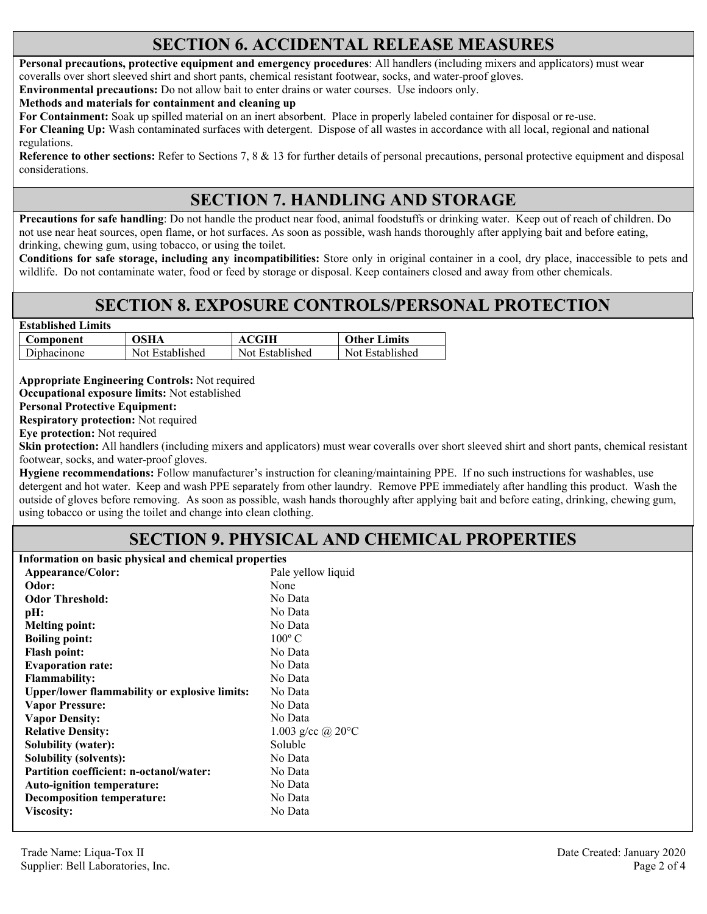### **SECTION 6. ACCIDENTAL RELEASE MEASURES**

**Personal precautions, protective equipment and emergency procedures**: All handlers (including mixers and applicators) must wear coveralls over short sleeved shirt and short pants, chemical resistant footwear, socks, and water-proof gloves.

**Environmental precautions:** Do not allow bait to enter drains or water courses. Use indoors only.

**Methods and materials for containment and cleaning up**

**For Containment:** Soak up spilled material on an inert absorbent. Place in properly labeled container for disposal or re-use.

**For Cleaning Up:** Wash contaminated surfaces with detergent. Dispose of all wastes in accordance with all local, regional and national regulations.

**Reference to other sections:** Refer to Sections 7, 8 & 13 for further details of personal precautions, personal protective equipment and disposal considerations.

# **SECTION 7. HANDLING AND STORAGE**

**Precautions for safe handling**: Do not handle the product near food, animal foodstuffs or drinking water. Keep out of reach of children. Do not use near heat sources, open flame, or hot surfaces. As soon as possible, wash hands thoroughly after applying bait and before eating, drinking, chewing gum, using tobacco, or using the toilet.

**Conditions for safe storage, including any incompatibilities:** Store only in original container in a cool, dry place, inaccessible to pets and wildlife. Do not contaminate water, food or feed by storage or disposal. Keep containers closed and away from other chemicals.

### **SECTION 8. EXPOSURE CONTROLS/PERSONAL PROTECTION**

| <b>Established Limits</b> |                 |                 |                     |
|---------------------------|-----------------|-----------------|---------------------|
| Component                 | OSHA            | <b>ACGIH</b>    | <b>Other Limits</b> |
| Diphacinone               | Not Established | Not Established | Not Established     |

**Appropriate Engineering Controls:** Not required **Occupational exposure limits:** Not established

**Personal Protective Equipment:** 

**Respiratory protection:** Not required

**Eye protection:** Not required

**Skin protection:** All handlers (including mixers and applicators) must wear coveralls over short sleeved shirt and short pants, chemical resistant footwear, socks, and water-proof gloves.

**Hygiene recommendations:** Follow manufacturer's instruction for cleaning/maintaining PPE. If no such instructions for washables, use detergent and hot water. Keep and wash PPE separately from other laundry. Remove PPE immediately after handling this product. Wash the outside of gloves before removing. As soon as possible, wash hands thoroughly after applying bait and before eating, drinking, chewing gum, using tobacco or using the toilet and change into clean clothing.

### **SECTION 9. PHYSICAL AND CHEMICAL PROPERTIES**

**Information on basic physical and chemical properties** 

| Appearance/Color:                                    | Pale yellow liquid          |  |
|------------------------------------------------------|-----------------------------|--|
| Odor:                                                | None                        |  |
| <b>Odor Threshold:</b>                               | No Data                     |  |
| pH:                                                  | No Data                     |  |
| <b>Melting point:</b>                                | No Data                     |  |
| <b>Boiling point:</b>                                | $100^{\circ}$ C             |  |
| <b>Flash point:</b>                                  | No Data                     |  |
| <b>Evaporation rate:</b>                             | No Data                     |  |
| <b>Flammability:</b>                                 | No Data                     |  |
| <b>Upper/lower flammability or explosive limits:</b> | No Data                     |  |
| <b>Vapor Pressure:</b>                               | No Data                     |  |
| <b>Vapor Density:</b>                                | No Data                     |  |
| <b>Relative Density:</b>                             | 1.003 g/cc @ $20^{\circ}$ C |  |
| Solubility (water):                                  | Soluble                     |  |
| <b>Solubility (solvents):</b>                        | No Data                     |  |
| Partition coefficient: n-octanol/water:              | No Data                     |  |
| <b>Auto-ignition temperature:</b>                    | No Data                     |  |
| <b>Decomposition temperature:</b>                    | No Data                     |  |
| <b>Viscosity:</b>                                    | No Data                     |  |
|                                                      |                             |  |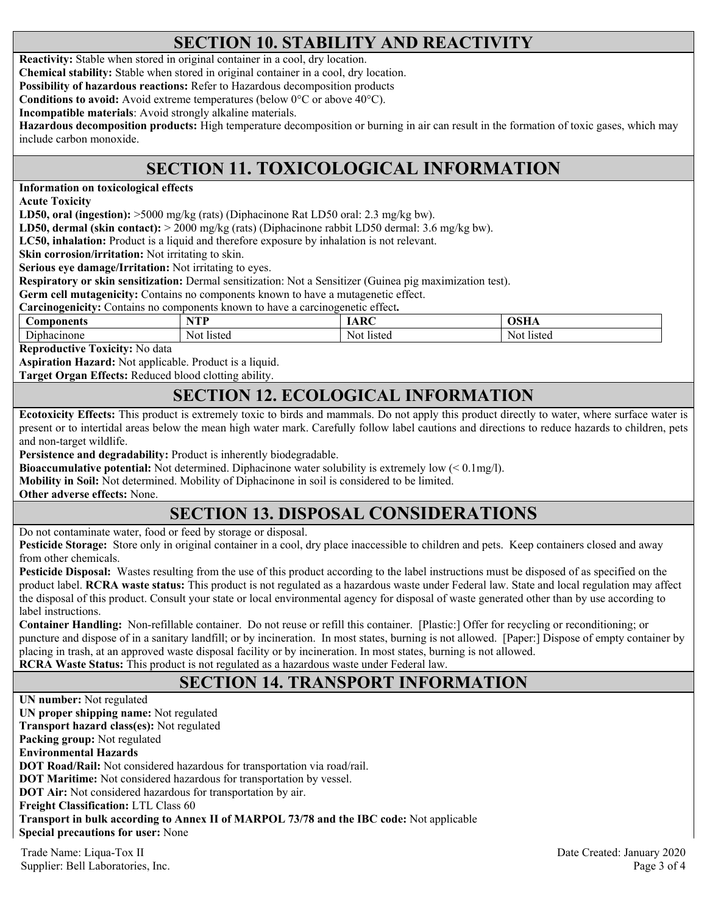# **SECTION 10. STABILITY AND REACTIVITY**

**Reactivity:** Stable when stored in original container in a cool, dry location.

**Chemical stability:** Stable when stored in original container in a cool, dry location.

**Possibility of hazardous reactions:** Refer to Hazardous decomposition products

**Conditions to avoid:** Avoid extreme temperatures (below 0°C or above 40°C).

**Incompatible materials**: Avoid strongly alkaline materials.

**Hazardous decomposition products:** High temperature decomposition or burning in air can result in the formation of toxic gases, which may include carbon monoxide.

# **SECTION 11. TOXICOLOGICAL INFORMATION**

**Information on toxicological effects** 

**Acute Toxicity** 

**LD50, oral (ingestion):** >5000 mg/kg (rats) (Diphacinone Rat LD50 oral: 2.3 mg/kg bw).

**LD50, dermal (skin contact):** > 2000 mg/kg (rats) (Diphacinone rabbit LD50 dermal: 3.6 mg/kg bw).

**LC50, inhalation:** Product is a liquid and therefore exposure by inhalation is not relevant.

**Skin corrosion/irritation:** Not irritating to skin.

**Serious eye damage/Irritation:** Not irritating to eyes.

**Respiratory or skin sensitization:** Dermal sensitization: Not a Sensitizer (Guinea pig maximization test).

**Germ cell mutagenicity:** Contains no components known to have a mutagenetic effect.

**Carcinogenicity:** Contains no components known to have a carcinogenetic effect**.** 

| aponents<br>⊅om                                      | <b>STEP TV</b><br>. .     | $\sim$ $\sim$    |              |
|------------------------------------------------------|---------------------------|------------------|--------------|
| $\sim$<br>$\gamma$ none<br>nnaci.<br>11 <sup>r</sup> | listec<br>No <sup>+</sup> | Not.<br>* Iisteg | NΩ<br>listec |

**Reproductive Toxicity:** No data

**Aspiration Hazard:** Not applicable. Product is a liquid.

**Target Organ Effects:** Reduced blood clotting ability.

### **SECTION 12. ECOLOGICAL INFORMATION**

**Ecotoxicity Effects:** This product is extremely toxic to birds and mammals. Do not apply this product directly to water, where surface water is present or to intertidal areas below the mean high water mark. Carefully follow label cautions and directions to reduce hazards to children, pets and non-target wildlife.

**Persistence and degradability:** Product is inherently biodegradable.

**Bioaccumulative potential:** Not determined. Diphacinone water solubility is extremely low (< 0.1mg/l).

**Mobility in Soil:** Not determined. Mobility of Diphacinone in soil is considered to be limited.

**Other adverse effects:** None.

# **SECTION 13. DISPOSAL CONSIDERATIONS**

Do not contaminate water, food or feed by storage or disposal.

**Pesticide Storage:** Store only in original container in a cool, dry place inaccessible to children and pets. Keep containers closed and away from other chemicals.

**Pesticide Disposal:** Wastes resulting from the use of this product according to the label instructions must be disposed of as specified on the product label. **RCRA waste status:** This product is not regulated as a hazardous waste under Federal law. State and local regulation may affect the disposal of this product. Consult your state or local environmental agency for disposal of waste generated other than by use according to label instructions.

**Container Handling:** Non-refillable container. Do not reuse or refill this container. [Plastic:] Offer for recycling or reconditioning; or puncture and dispose of in a sanitary landfill; or by incineration. In most states, burning is not allowed. [Paper:] Dispose of empty container by placing in trash, at an approved waste disposal facility or by incineration. In most states, burning is not allowed. **RCRA Waste Status:** This product is not regulated as a hazardous waste under Federal law.

### **SECTION 14. TRANSPORT INFORMATION**

Trade Name: Liqua-Tox II Date Created: January 2020 **UN number:** Not regulated **UN proper shipping name:** Not regulated **Transport hazard class(es):** Not regulated **Packing group:** Not regulated **Environmental Hazards DOT Road/Rail:** Not considered hazardous for transportation via road/rail. **DOT Maritime:** Not considered hazardous for transportation by vessel. **DOT Air:** Not considered hazardous for transportation by air. **Freight Classification:** LTL Class 60 **Transport in bulk according to Annex II of MARPOL 73/78 and the IBC code:** Not applicable **Special precautions for user:** None

Supplier: Bell Laboratories, Inc. 2008 and 2008 and 2008 and 2008 and 2008 and 2008 and 2008 and 2008 and 2008 and 2008 and 2008 and 2008 and 2008 and 2008 and 2008 and 2008 and 2008 and 2008 and 2008 and 2008 and 2008 and